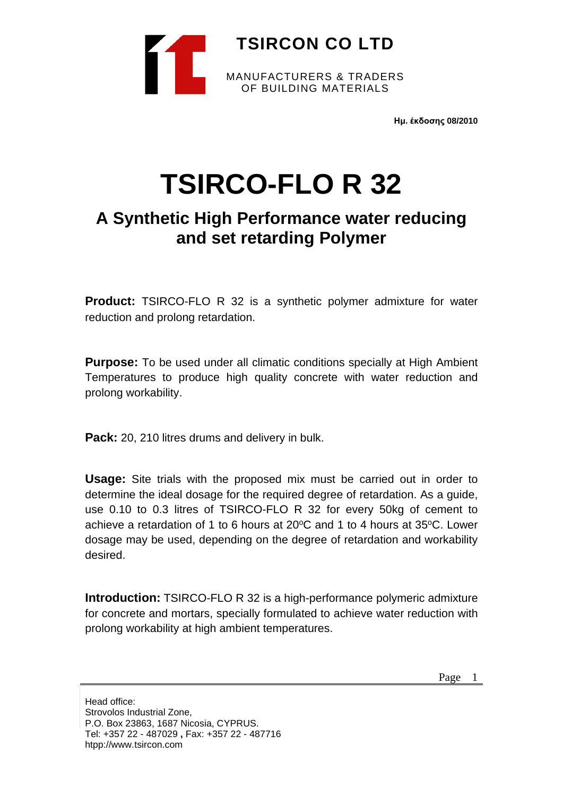

**Ημ. έκδοσης 08/2010**

## **TSIRCO-FLO R 32**

## **A Synthetic High Performance water reducing and set retarding Polymer**

**Product:** TSIRCO-FLO R 32 is a synthetic polymer admixture for water reduction and prolong retardation.

**Purpose:** To be used under all climatic conditions specially at High Ambient Temperatures to produce high quality concrete with water reduction and prolong workability.

**Pack:** 20, 210 litres drums and delivery in bulk.

**Usage:** Site trials with the proposed mix must be carried out in order to determine the ideal dosage for the required degree of retardation. As a guide, use 0.10 to 0.3 litres of TSIRCO-FLO R 32 for every 50kg of cement to achieve a retardation of 1 to 6 hours at  $20^{\circ}$ C and 1 to 4 hours at  $35^{\circ}$ C. Lower dosage may be used, depending on the degree of retardation and workability desired.

**Introduction:** TSIRCO-FLO R 32 is a high-performance polymeric admixture for concrete and mortars, specially formulated to achieve water reduction with prolong workability at high ambient temperatures.

Page 1

Head office: Strovolos Industrial Zone, P.O. Box 23863, 1687 Nicosia, CYPRUS. Tel: +357 22 - 487029 **,** Fax: +357 22 - 487716 htpp://www.tsircon.com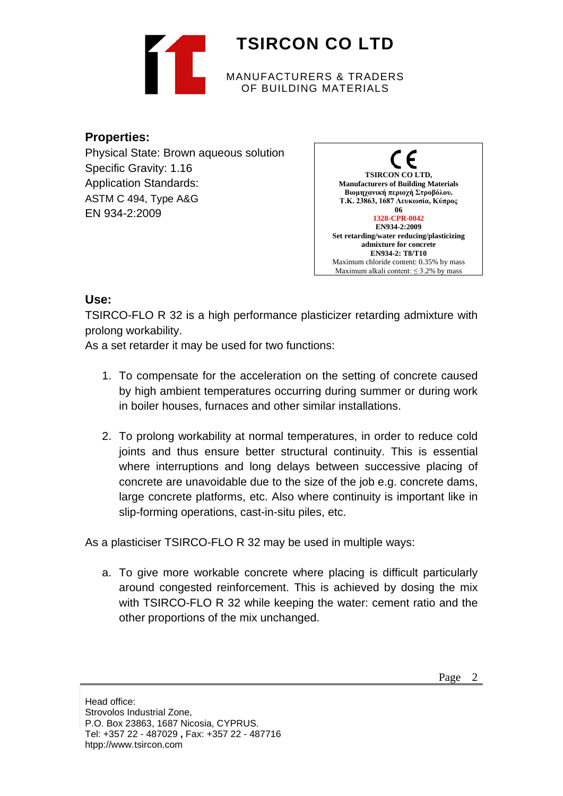

## **Properties:**

Physical State: Brown aqueous solution Specific Gravity: 1.16 Application Standards: ASTM C 494, Type A&G EN 934-2:2009



## **Use:**

TSIRCO-FLO R 32 is a high performance plasticizer retarding admixture with prolong workability.

As a set retarder it may be used for two functions:

- 1. To compensate for the acceleration on the setting of concrete caused by high ambient temperatures occurring during summer or during work in boiler houses, furnaces and other similar installations.
- 2. To prolong workability at normal temperatures, in order to reduce cold joints and thus ensure better structural continuity. This is essential where interruptions and long delays between successive placing of concrete are unavoidable due to the size of the job e.g. concrete dams, large concrete platforms, etc. Also where continuity is important like in slip-forming operations, cast-in-situ piles, etc.

As a plasticiser TSIRCO-FLO R 32 may be used in multiple ways:

a. To give more workable concrete where placing is difficult particularly around congested reinforcement. This is achieved by dosing the mix with TSIRCO-FLO R 32 while keeping the water: cement ratio and the other proportions of the mix unchanged.

Head office: Strovolos Industrial Zone, P.O. Box 23863, 1687 Nicosia, CYPRUS. Tel: +357 22 - 487029 **,** Fax: +357 22 - 487716 htpp://www.tsircon.com